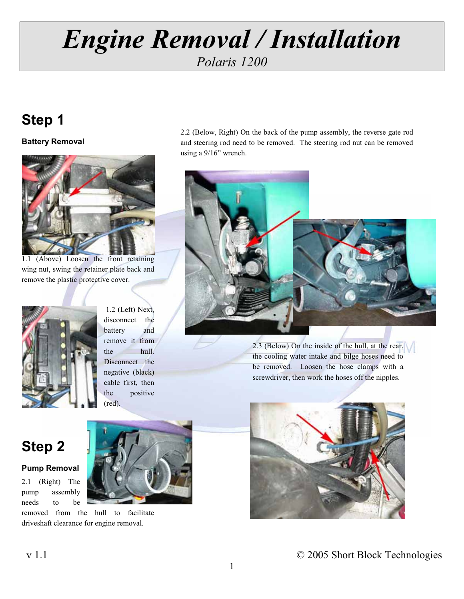## **Step 1**



1.1 (Above) Loosen the front retaining wing nut, swing the retainer plate back and remove the plastic protective cover.



1.2 (Left) Next, disconnect the battery and remove it from the hull. Disconnect the negative (black) cable first, then the positive (red).

2.2 (Below, Right) On the back of the pump assembly, the reverse gate rod **Battery Removal** and steering rod need to be removed. The steering rod nut can be removed using a 9/16" wrench.



2.3 (Below) On the inside of the hull, at the rear, the cooling water intake and bilge hoses need to be removed. Loosen the hose clamps with a screwdriver, then work the hoses off the nipples.



## **Step 2**

### **Pump Removal**

2.1 (Right) The pump assembly needs to be

removed from the hull to facilitate driveshaft clearance for engine removal.

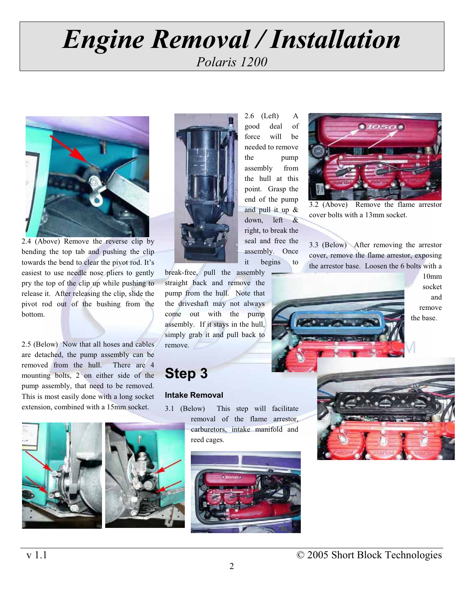# *Engine Engine Relation*<br>Polaris 1200 *Polaris 1200*



2.4 (Above) Remove the reverse clip by bending the top tab and pushing the clip towards the bend to clear the pivot rod. It's easiest to use needle nose pliers to gently pry the top of the clip up while pushing to release it. After releasing the clip, slide the pivot rod out of the bushing from the bottom.

2.5 (Below) Now that all hoses and cables are detached, the pump assembly can be removed from the hull. There are 4 mounting bolts, 2 on either side of the pump assembly, that need to be removed. This is most easily done with a long socket extension, combined with a 15mm socket.





break-free, pull the assembly straight back and remove the pump from the hull. Note that the driveshaft may not always come out with the pump assembly. If it stays in the hull, simply grab it and pull back to remove.

## **Step 3**

### **Intake Removal**

3.1 (Below) This step will facilitate removal of the flame arrestor, carburetors, intake manifold and reed cages.



end of the pump and pull it up & down, left & right, to break the seal and free the assembly. Once it begins to 2.6 (Left) A good deal of force will be needed to remove the pump assembly from the hull at this point. Grasp the



3.2 (Above) Remove the flame arrestor cover bolts with a 13mm socket.

3.3 (Below) After removing the arrestor cover, remove the flame arrestor, exposing the arrestor base. Loosen the 6 bolts with a



10mm socket and remove

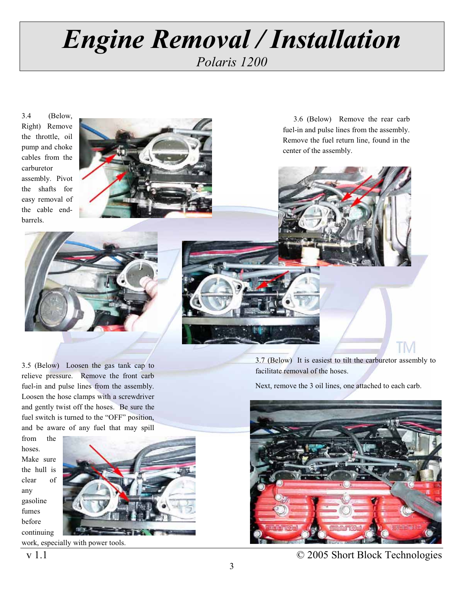3.4 (Below, Right) Remove the throttle, oil pump and choke cables from the carburetor assembly. Pivot the shafts for easy removal of the cable endbarrels.



3.6 (Below) Remove the rear carb fuel-in and pulse lines from the assembly. Remove the fuel return line, found in the center of the assembly.



3.5 (Below) Loosen the gas tank cap to relieve pressure. Remove the front carb fuel-in and pulse lines from the assembly. Loosen the hose clamps with a screwdriver and gently twist off the hoses. Be sure the fuel switch is turned to the "OFF" position, and be aware of any fuel that may spill

from the hoses. Make sure the hull is clear of any gasoline fumes before continuing



work, especially with power tools.



3.7 (Below) It is easiest to tilt the carburetor assembly to facilitate removal of the hoses.

Next, remove the 3 oil lines, one attached to each carb.



v 1.1 © 2005 Short Block Technologies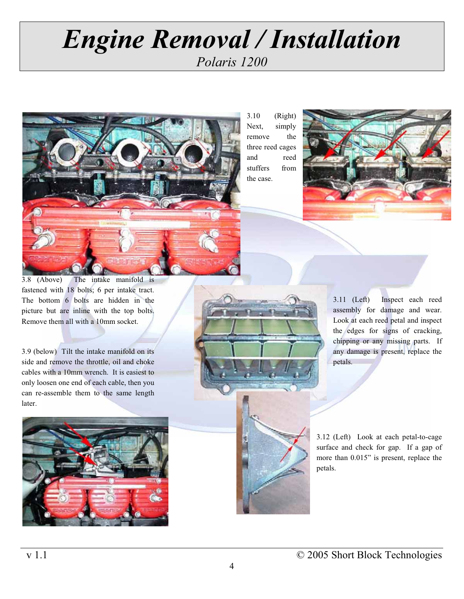

3.10 (Right) Next, simply remove the three reed cages and reed stuffers from the case.



3.8 (Above) The intake manifold is fastened with 18 bolts; 6 per intake tract. The bottom 6 bolts are hidden in the picture but are inline with the top bolts. Remove them all with a 10mm socket.

3.9 (below) Tilt the intake manifold on its side and remove the throttle, oil and choke cables with a 10mm wrench. It is easiest to only loosen one end of each cable, then you can re-assemble them to the same length later.





3.11 (Left) Inspect each reed assembly for damage and wear. Look at each reed petal and inspect the edges for signs of cracking, chipping or any missing parts. If any damage is present, replace the petals.

3.12 (Left) Look at each petal-to-cage surface and check for gap. If a gap of more than 0.015" is present, replace the petals.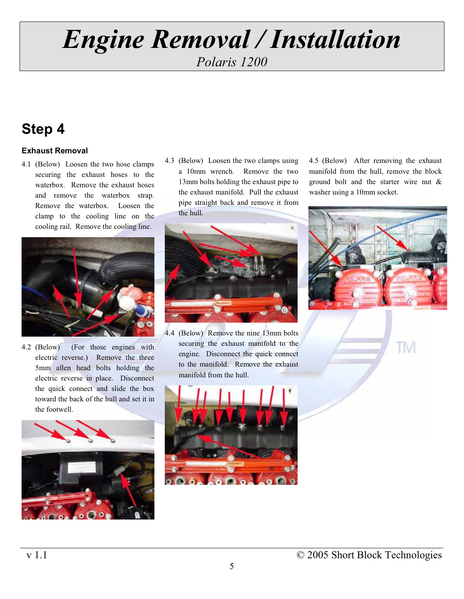### *Polaris 1200*

## **Step 4**

### **Exhaust Removal**

waterbox. Remove the exhaust hoses and remove the waterbox strap. Remove the waterbox. Loosen the clamp to the cooling line on the cooling rail. Remove the cooling line.



4.2 (Below) (For those engines with electric reverse.) Remove the three 5mm allen head bolts holding the electric reverse in place. Disconnect the quick connect and slide the box toward the back of the hull and set it in the footwell.



the exhaust manifold. Pull the exhaust pipe straight back and remove it from the hull.



4.4 (Below) Remove the nine 13mm bolts securing the exhaust manifold to the engine. Disconnect the quick connect to the manifold. Remove the exhaust manifold from the hull.



4.1 (Below) Loosen the two hose clamps 4.3 (Below) Loosen the two clamps using 4.5 (Below) After removing the exhaust a 10mm wrench. Remove the two manifold from the hull, remove the block securing the exhaust hoses to the a 10mm wrench. Remove the two manifold from the hull, remove the block<br>waterbox. Bemove the exhaust hoses and 13mm bolts holding the exhaust pipe to ground bolt and the starter wire nut & washer using a 10mm socket.



TM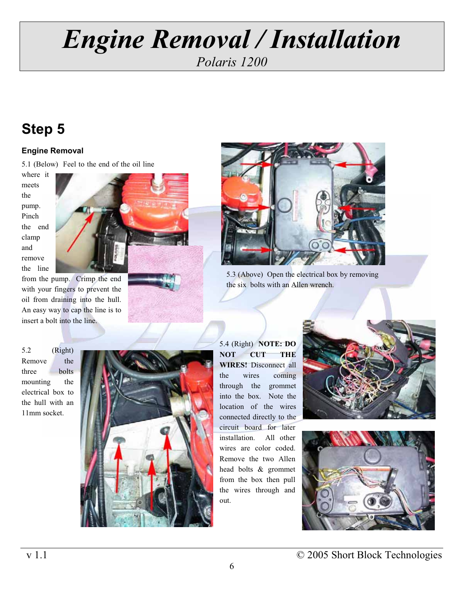## **Step 5**

### **Engine Removal**

5.1 (Below) Feel to the end of the oil line

where it meets the pump. Pinch the end clamp and remove the line



from the pump. Crimp the end with your fingers to prevent the oil from draining into the hull. An easy way to cap the line is to insert a bolt into the line.

5.2 (Right) Remove the three bolts mounting the electrical box to the hull with an 11mm socket.







the six bolts with an Allen wrench.

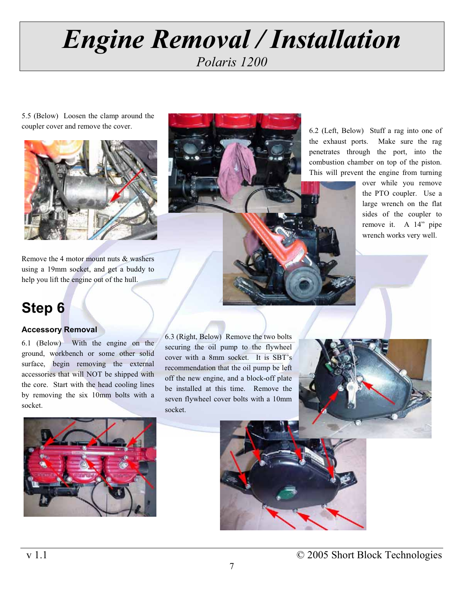# *Engine Engine Relation*<br>Polaris 1200 *Polaris 1200*

5.5 (Below) Loosen the clamp around the coupler cover and remove the cover.



Remove the 4 motor mount nuts & washers using a 19mm socket, and get a buddy to help you lift the engine out of the hull.



6.2 (Left, Below) Stuff a rag into one of the exhaust ports. Make sure the rag penetrates through the port, into the combustion chamber on top of the piston. This will prevent the engine from turning

> over while you remove the PTO coupler. Use a large wrench on the flat sides of the coupler to remove it. A 14" pipe wrench works very well.

## **Step 6**

### **Accessory Removal**

6.1 (Below) With the engine on the ground, workbench or some other solid surface, begin removing the external accessories that will NOT be shipped with the core. Start with the head cooling lines by removing the six 10mm bolts with a socket.

6.3 (Right, Below) Remove the two bolts securing the oil pump to the flywheel cover with a 8mm socket. It is SBT's recommendation that the oil pump be left off the new engine, and a block-off plate be installed at this time. Remove the seven flywheel cover bolts with a 10mm socket.







7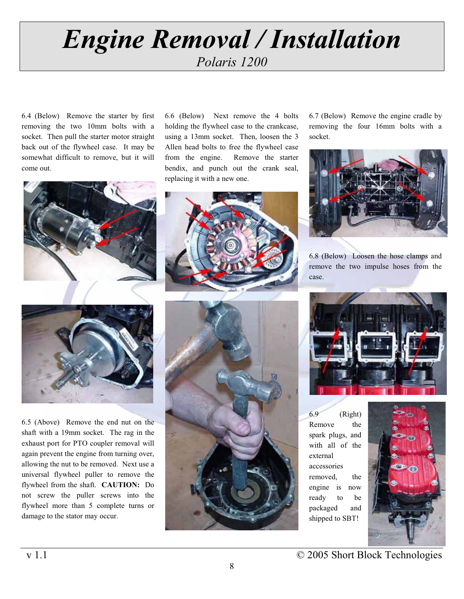# *Engine Engine Relation*<br>Polaris 1200 *Polaris 1200*

6.4 (Below) Remove the starter by first removing the two 10mm bolts with a socket. Then pull the starter motor straight back out of the flywheel case. It may be somewhat difficult to remove, but it will come out.





exhaust port for PTO coupler removal will again prevent the engine from turning over, allowing the nut to be removed. Next use a universal flywheel puller to remove the flywheel from the shaft. **CAUTION:** Do not screw the puller screws into the flywheel more than 5 complete turns or damage to the stator may occur. 6.5 (Above) Remove the end nut on the shaft with a 19mm socket. The rag in the

6.6 (Below) Next remove the 4 bolts holding the flywheel case to the crankcase, using a 13mm socket. Then, loosen the 3 Allen head bolts to free the flywheel case from the engine. Remove the starter bendix, and punch out the crank seal, replacing it with a new one.



6.7 (Below) Remove the engine cradle by removing the four 16mm bolts with a socket.



6.8 (Below) Loosen the hose clamps and remove the two impulse hoses from the case.





with all of the external accessories removed, the engine is now ready to be packaged and shipped to SBT! 6.9 (Right) Remove the spark plugs, and



v 1.1 © 2005 Short Block Technologies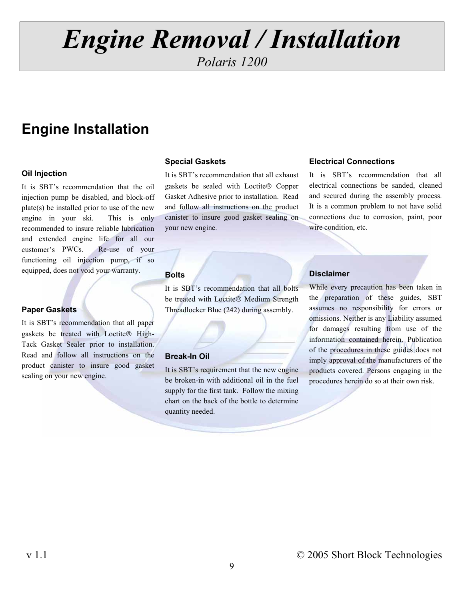# *Engine Engine Relation*<br>Polaris 1200

*Polaris 1200* 

## **Engine Installation**

### **Oil Injection**

It is SBT's recommendation that the oil engine in your ski. This is only customer's PWCs. functioning oil injection pump, if so injection pump be disabled, and block-off plate(s) be installed prior to use of the new recommended to insure reliable lubrication and extended engine life for all our Re-use of your equipped, does not void your warranty.

### **Paper Gaskets**

product canister to insure good gasket It is SBT's recommendation that all paper gaskets be treated with Loctite® High-Tack Gasket Sealer prior to installation. Read and follow all instructions on the sealing on your new engine.

### **Special Gaskets**

Gasket Adhesive prior to installation. Read and follow all instructions on the product your new engine. canister to insure good gasket sealing on It is SBT's recommendation that all exhaust gaskets be sealed with Loctite® Copper

### **Bolts**

It is SBT's recommendation that all bolts be treated with Loctite® Medium Strength Threadlocker Blue (242) during assembly.

### **Break-In Oil**

It is SBT's requirement that the new engine be broken-in with additional oil in the fuel supply for the first tank. Follow the mixing chart on the back of the bottle to determine quantity needed.

### **Electrical Connections**

and secured during the assembly process. It is a common problem to not have solid connections due to corrosion, paint, poor wire condition, etc. It is SBT's recommendation that all electrical connections be sanded, cleaned

### **Disclaimer**

While every precaution has been taken in the preparation of these guides, SBT assumes no responsibility for errors or omissions. Neither is any Liability assumed for damages resulting from use of the information contained herein. Publication of the procedures in these guides does not imply approval of the manufacturers of the products covered. Persons engaging in the procedures herein do so at their own risk.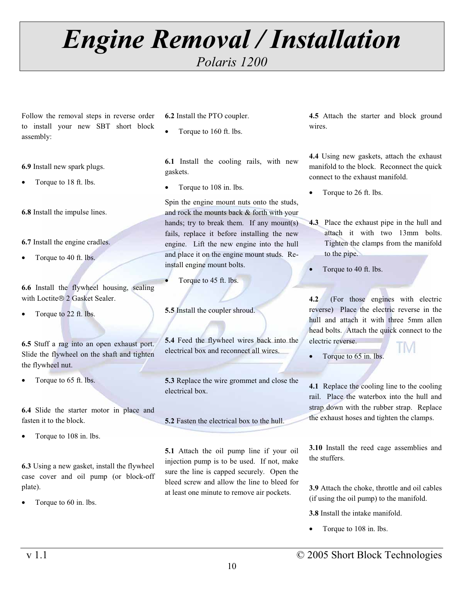*Polaris 1200* 

Follow the removal steps in reverse order to install your new SBT short block assembly:

**6.9** Install new spark plugs.

• Torque to 18 ft. lbs.

**6.8** Install the impulse lines.

**6.7** Install the engine cradles.

• Torque to 40 ft. lbs.

**6.6** Install the flywheel housing, sealing with Loctite® 2 Gasket Sealer.

• Torque to 22 ft. lbs.

**6.5** Stuff a rag into an open exhaust port. Slide the flywheel on the shaft and tighten the flywheel nut.

• Torque to 65 ft. lbs.

**6.4** Slide the starter motor in place and fasten it to the block.

• Torque to 108 in. lbs.

**6.3** Using a new gasket, install the flywheel case cover and oil pump (or block-off plate).

• Torque to 60 in. lbs.

**6.2** Install the PTO coupler.

• Torque to 160 ft. lbs.

**6.1** Install the cooling rails, with new gaskets.

• Torque to 108 in. lbs.

Spin the engine mount nuts onto the studs, and rock the mounts back & forth with your hands; try to break them. If any mount(s) fails, replace it before installing the new engine. Lift the new engine into the hull and place it on the engine mount studs. Reinstall engine mount bolts.

Torque to 45 ft. lbs.

**5.5** Install the coupler shroud.

**5.4** Feed the flywheel wires back into the electrical box and reconnect all wires.

electrical box. **5.3** Replace the wire grommet and close the

**5.2** Fasten the electrical box to the hull.

**5.1** Attach the oil pump line if your oil injection pump is to be used. If not, make sure the line is capped securely. Open the bleed screw and allow the line to bleed for at least one minute to remove air pockets.

**4.5** Attach the starter and block ground wires.

**4.4** Using new gaskets, attach the exhaust manifold to the block. Reconnect the quick connect to the exhaust manifold.

- Torque to 26 ft. lbs.
- Tighten the clamps from the manifold to the pipe. **4.3** Place the exhaust pipe in the hull and attach it with two 13mm bolts.
- Torque to 40 ft. lbs.

**4.2** (For those engines with electric reverse) Place the electric reverse in the hull and attach it with three 5mm allen head bolts. Attach the quick connect to the electric reverse. TM

Torque to 65 in. lbs.

**4.1** Replace the cooling line to the cooling rail. Place the waterbox into the hull and strap down with the rubber strap. Replace the exhaust hoses and tighten the clamps.

**3.10** Install the reed cage assemblies and the stuffers.

**3.9** Attach the choke, throttle and oil cables (if using the oil pump) to the manifold.

**3.8** Install the intake manifold.

• Torque to 108 in. lbs.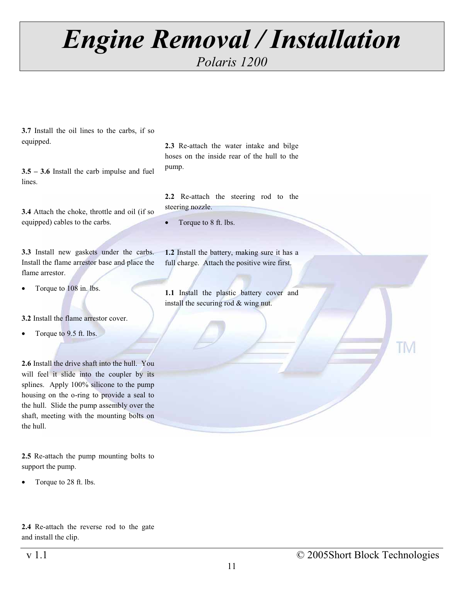*Polaris 1200* 

**3.7** Install the oil lines to the carbs, if so equipped.

**3.5 – 3.6** Install the carb impulse and fuel lines.

**3.4** Attach the choke, throttle and oil (if so equipped) cables to the carbs.

**3.3** Install new gaskets under the carbs. Install the flame arrestor base and place the flame arrestor.

• Torque to 108 in. lbs.

**3.2** Install the flame arrestor cover.

• Torque to 9.5 ft. lbs.

the hull. **2.6** Install the drive shaft into the hull. You will feel it slide into the coupler by its splines. Apply 100% silicone to the pump housing on the o-ring to provide a seal to the hull. Slide the pump assembly over the shaft, meeting with the mounting bolts on

**2.5** Re-attach the pump mounting bolts to support the pump.

• Torque to 28 ft. lbs.

**2.4** Re-attach the reverse rod to the gate and install the clip.

**2.3** Re-attach the water intake and bilge hoses on the inside rear of the hull to the pump.

**2.2** Re-attach the steering rod to the steering nozzle.

• Torque to 8 ft. lbs.

**1.2** Install the battery, making sure it has a full charge. Attach the positive wire first.

**1.1** Install the plastic battery cover and install the securing rod & wing nut.

TM